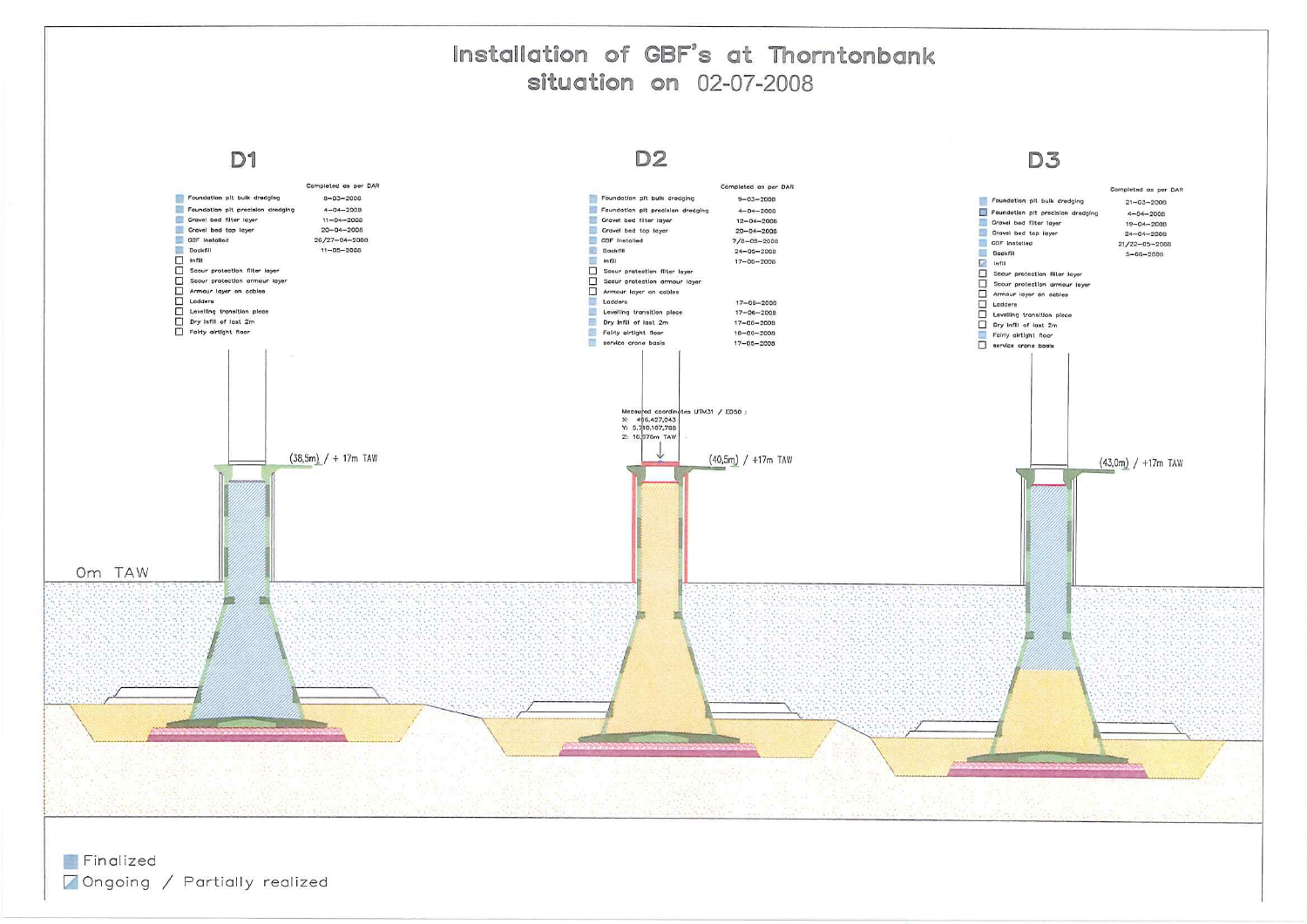## Installation of GBF's at Thorntonbank situation on 02-07-2008

D<sub>1</sub>



Finalized Ongoing / Partially realized